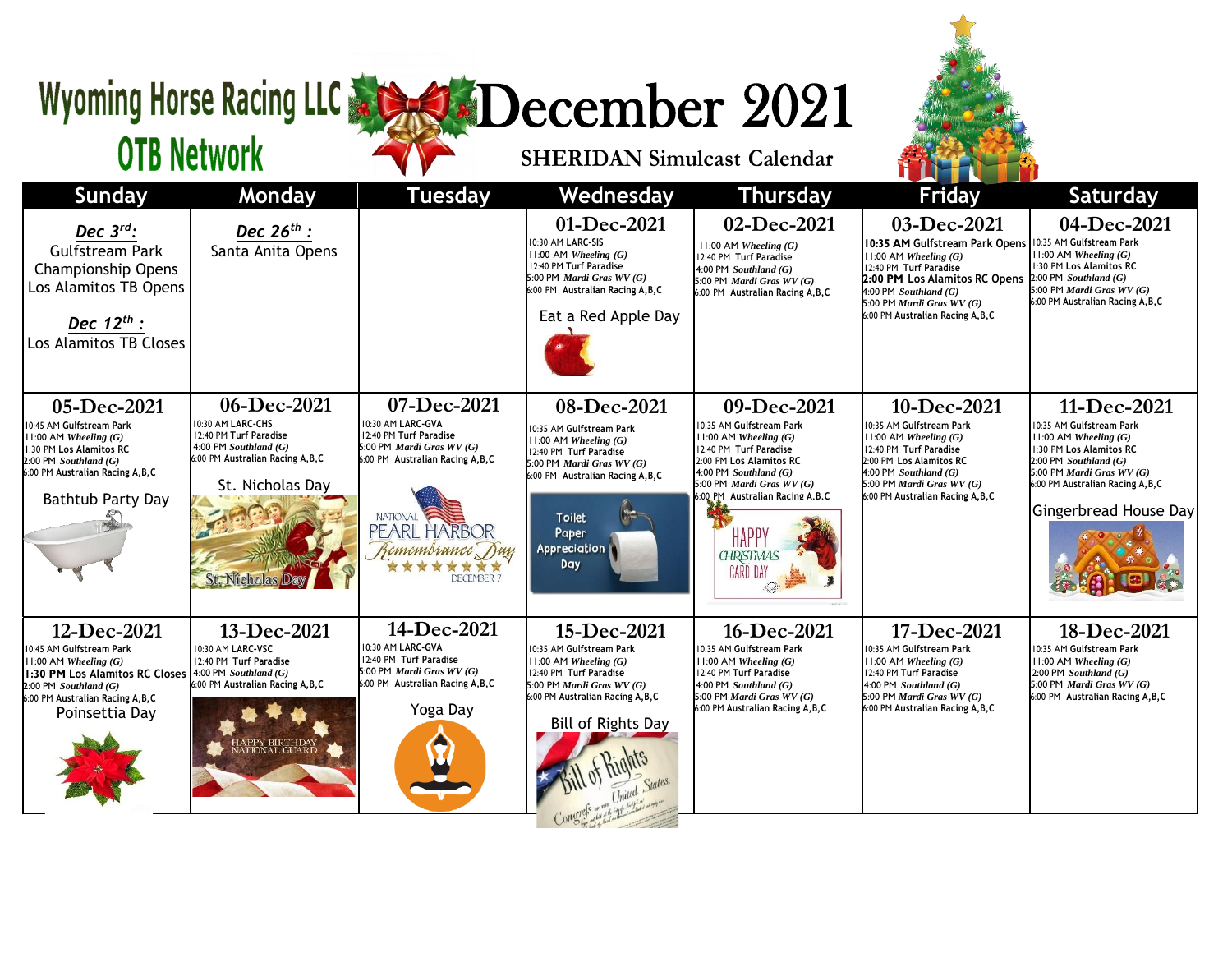## Wyoming Horse Racing LLC & SADecember 2021

## **OTB Network**





| Sunday                                                                                                                                                                                     | Monday                                                                                                                                                           | <b>Tuesday</b>                                                                                                                                                                                                   | Wednesday                                                                                                                                                                                                         | <b>Thursday</b>                                                                                                                                                                                                                                                      | <b>Friday</b>                                                                                                                                                                                                                                                  | <b>Saturday</b>                                                                                                                                                                                                          |
|--------------------------------------------------------------------------------------------------------------------------------------------------------------------------------------------|------------------------------------------------------------------------------------------------------------------------------------------------------------------|------------------------------------------------------------------------------------------------------------------------------------------------------------------------------------------------------------------|-------------------------------------------------------------------------------------------------------------------------------------------------------------------------------------------------------------------|----------------------------------------------------------------------------------------------------------------------------------------------------------------------------------------------------------------------------------------------------------------------|----------------------------------------------------------------------------------------------------------------------------------------------------------------------------------------------------------------------------------------------------------------|--------------------------------------------------------------------------------------------------------------------------------------------------------------------------------------------------------------------------|
| Dec $3^{rd}$ :<br><b>Gulfstream Park</b><br><b>Championship Opens</b><br>Los Alamitos TB Opens<br>Dec $12^{th}$ :<br>Los Alamitos TB Closes                                                | Dec $26^{th}$ :<br>Santa Anita Opens                                                                                                                             |                                                                                                                                                                                                                  | 01-Dec-2021<br>10:30 AM LARC-SIS<br>$11:00$ AM Wheeling $(G)$<br>12:40 PM Turf Paradise<br>5:00 PM Mardi Gras WV (G)<br>6:00 PM Australian Racing A, B, C<br>Eat a Red Apple Day                                  | 02-Dec-2021<br>$11:00$ AM Wheeling $(G)$<br>12:40 PM Turf Paradise<br>$4:00$ PM Southland $(G)$<br>5:00 PM Mardi Gras $WV(G)$<br>6:00 PM Australian Racing A, B, C                                                                                                   | 03-Dec-2021<br>10:35 AM Gulfstream Park Opens 10:35 AM Gulfstream Park<br>$11:00$ AM Wheeling $(G)$<br>12:40 PM Turf Paradise<br>2:00 PM Los Alamitos RC Opens<br>$4:00$ PM Southland $(G)$<br>5:00 PM Mardi Gras $WV(G)$<br>6:00 PM Australian Racing A, B, C | 04-Dec-2021<br>$11:00$ AM Wheeling $(G)$<br>1:30 PM Los Alamitos RC<br>$2:00$ PM Southland $(G)$<br>5:00 PM Mardi Gras WV (G)<br>6:00 PM Australian Racing A, B, C                                                       |
| 05-Dec-2021<br>10:45 AM Gulfstream Park<br>$11:00$ AM Wheeling $(G)$<br>1:30 PM Los Alamitos RC<br>$2:00$ PM Southland $(G)$<br>6:00 PM Australian Racing A, B, C<br>Bathtub Party Day     | 06-Dec-2021<br>10:30 AM LARC-CHS<br>12:40 PM Turf Paradise<br>4:00 PM Southland $(G)$<br>6:00 PM Australian Racing A, B, C<br>St. Nicholas Day<br>St. Nicholas D | 07-Dec-2021<br>10:30 AM LARC-GVA<br>12:40 PM Turf Paradise<br>5:00 PM <i>Mardi Gras WV</i> $(G)$<br>6:00 PM Australian Racing A, B, C<br><b>NATIONAL</b><br>PEARL HARBOR<br>Remembrance Day<br><b>DECEMBER 7</b> | 08-Dec-2021<br>10:35 AM Gulfstream Park<br>$11:00$ AM Wheeling $(G)$<br>12:40 PM Turf Paradise<br>5:00 PM Mardi Gras WV (G)<br>6:00 PM Australian Racing A, B, C<br><b>Toilet</b><br>Paper<br>Appreciation<br>Day | 09-Dec-2021<br>10:35 AM Gulfstream Park<br>$11:00$ AM Wheeling $(G)$<br>12:40 PM Turf Paradise<br>2:00 PM Los Alamitos RC<br>4:00 PM Southland $(G)$<br>5:00 PM Mardi Gras $WV(G)$<br>:00 PM Australian Racing A,B,C<br>HAPP'<br><b>GHRISTMAS</b><br><b>CARD DAY</b> | 10-Dec-2021<br>10:35 AM Gulfstream Park<br>$11:00$ AM Wheeling $(G)$<br>12:40 PM Turf Paradise<br>2:00 PM Los Alamitos RC<br>$4:00$ PM Southland $(G)$<br>5:00 PM Mardi Gras $WV(G)$<br>6:00 PM Australian Racing A, B, C                                      | 11-Dec-2021<br>10:35 AM Gulfstream Park<br>$11:00$ AM Wheeling $(G)$<br>1:30 PM Los Alamitos RC<br>$2:00$ PM Southland $(G)$<br>5:00 PM Mardi Gras $WV(G)$<br>6:00 PM Australian Racing A, B, C<br>Gingerbread House Day |
| 12-Dec-2021<br>10:45 AM Gulfstream Park<br>$11:00$ AM Wheeling $(G)$<br>1:30 PM Los Alamitos RC Closes<br>$2:00$ PM Southland $(G)$<br>6:00 PM Australian Racing A, B, C<br>Poinsettia Day | 13-Dec-2021<br>10:30 AM LARC-VSC<br>12:40 PM Turf Paradise<br>$4:00$ PM Southland $(G)$<br>6:00 PM Australian Racing A, B, C<br>IAPPY BIRTHDAY<br>IATIONAL GUARD | 14-Dec-2021<br>10:30 AM LARC-GVA<br>12:40 PM Turf Paradise<br>5:00 PM <i>Mardi Gras WV</i> $(G)$<br>6:00 PM Australian Racing A, B, C<br>Yoga Day                                                                | 15-Dec-2021<br>0:35 AM Gulfstream Park<br>$11:00$ AM Wheeling $(G)$<br>12:40 PM Turf Paradise<br>5:00 PM Mardi Gras WV (G)<br>6:00 PM Australian Racing A, B, C<br>Bill of Rights Day                             | 16-Dec-2021<br>10:35 AM Gulfstream Park<br>$11:00$ AM Wheeling $(G)$<br>12:40 PM Turf Paradise<br>4:00 PM Southland $(G)$<br>5:00 PM Mardi Gras WV (G)<br>6:00 PM Australian Racing A, B, C                                                                          | 17-Dec-2021<br>10:35 AM Gulfstream Park<br>$11:00$ AM Wheeling $(G)$<br>12:40 PM Turf Paradise<br>4:00 PM Southland $(G)$<br>5:00 PM Mardi Gras WV (G)<br>6:00 PM Australian Racing A,B,C                                                                      | 18-Dec-2021<br>10:35 AM Gulfstream Park<br>$11:00$ AM Wheeling $(G)$<br>$2:00$ PM Southland $(G)$<br>5:00 PM <i>Mardi Gras WV</i> $(G)$<br>6:00 PM Australian Racing A, B, C                                             |